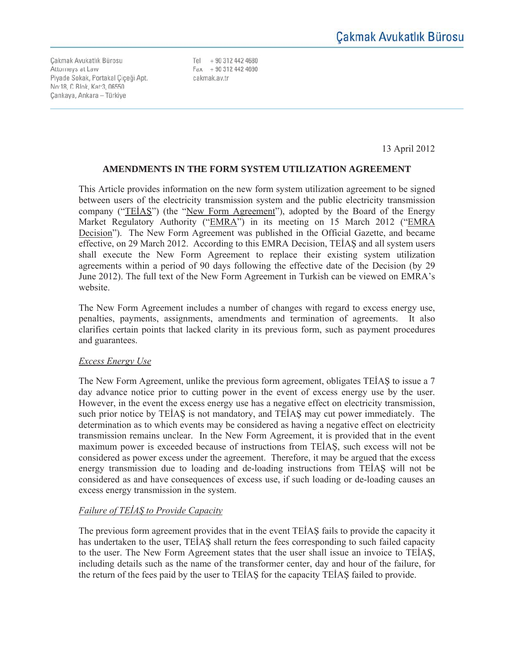Çakmak Avukatlık Bürosu Attorneys at Law Piyade Sokak, Portakal Çiçeği Apt. No:18, C Blok, Kat:3, 06550 Çankaya, Ankara - Türkiye

Tel +90 312 442 4680  $Fax + 903124424690$ cakmak.av.tr

13 April 2012

### **AMENDMENTS IN THE FORM SYSTEM UTILIZATION AGREEMENT**

This Article provides information on the new form system utilization agreement to be signed between users of the electricity transmission system and the public electricity transmission company ("TEIAS") (the "New Form Agreement"), adopted by the Board of the Energy Market Regulatory Authority ("EMRA") in its meeting on 15 March 2012 ("EMRA Decision"). The New Form Agreement was published in the Official Gazette, and became effective, on 29 March 2012. According to this EMRA Decision, TEIAS and all system users shall execute the New Form Agreement to replace their existing system utilization agreements within a period of 90 days following the effective date of the Decision (by 29 June 2012). The full text of the New Form Agreement in Turkish can be viewed on EMRA's website.

The New Form Agreement includes a number of changes with regard to excess energy use, penalties, payments, assignments, amendments and termination of agreements. It also clarifies certain points that lacked clarity in its previous form, such as payment procedures and guarantees.

#### *Excess Energy Use*

The New Form Agreement, unlike the previous form agreement, obligates TEIAS to issue a 7 day advance notice prior to cutting power in the event of excess energy use by the user. However, in the event the excess energy use has a negative effect on electricity transmission, such prior notice by TEIAS is not mandatory, and TEIAS may cut power immediately. The determination as to which events may be considered as having a negative effect on electricity transmission remains unclear. In the New Form Agreement, it is provided that in the event maximum power is exceeded because of instructions from TEIAS, such excess will not be considered as power excess under the agreement. Therefore, it may be argued that the excess energy transmission due to loading and de-loading instructions from TEIAS will not be considered as and have consequences of excess use, if such loading or de-loading causes an excess energy transmission in the system.

#### *Failure of TEIAS to Provide Capacity*

The previous form agreement provides that in the event TEİAŞ fails to provide the capacity it has undertaken to the user, TEIAŞ shall return the fees corresponding to such failed capacity to the user. The New Form Agreement states that the user shall issue an invoice to TEIAS, including details such as the name of the transformer center, day and hour of the failure, for the return of the fees paid by the user to TEIAS for the capacity TEIAS failed to provide.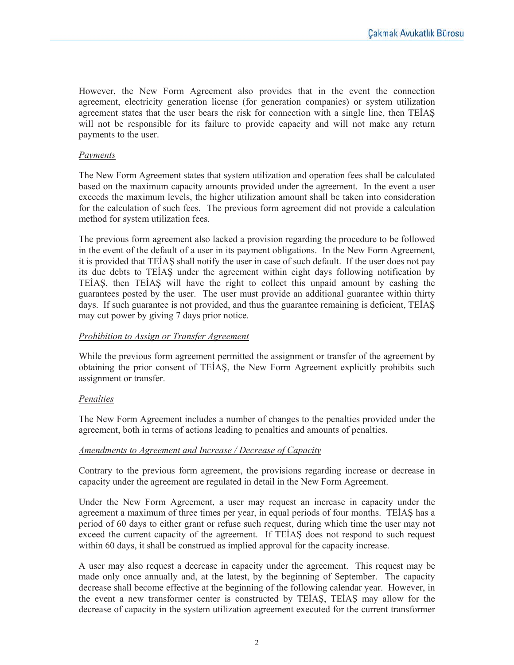However, the New Form Agreement also provides that in the event the connection agreement, electricity generation license (for generation companies) or system utilization agreement states that the user bears the risk for connection with a single line, then TEIAS will not be responsible for its failure to provide capacity and will not make any return payments to the user.

# *Payments*

The New Form Agreement states that system utilization and operation fees shall be calculated based on the maximum capacity amounts provided under the agreement. In the event a user exceeds the maximum levels, the higher utilization amount shall be taken into consideration for the calculation of such fees. The previous form agreement did not provide a calculation method for system utilization fees.

The previous form agreement also lacked a provision regarding the procedure to be followed in the event of the default of a user in its payment obligations. In the New Form Agreement, it is provided that TEİAŞ shall notify the user in case of such default. If the user does not pay its due debts to TEİAŞ under the agreement within eight days following notification by TEİAS, then TEİAS will have the right to collect this unpaid amount by cashing the guarantees posted by the user. The user must provide an additional guarantee within thirty days. If such guarantee is not provided, and thus the guarantee remaining is deficient, TEİAŞ may cut power by giving 7 days prior notice.

# *Prohibition to Assign or Transfer Agreement*

While the previous form agreement permitted the assignment or transfer of the agreement by obtaining the prior consent of TEİAŞ, the New Form Agreement explicitly prohibits such assignment or transfer.

# *Penalties*

The New Form Agreement includes a number of changes to the penalties provided under the agreement, both in terms of actions leading to penalties and amounts of penalties.

# *Amendments to Agreement and Increase / Decrease of Capacity*

Contrary to the previous form agreement, the provisions regarding increase or decrease in capacity under the agreement are regulated in detail in the New Form Agreement.

Under the New Form Agreement, a user may request an increase in capacity under the agreement a maximum of three times per year, in equal periods of four months. TEIAŞ has a period of 60 days to either grant or refuse such request, during which time the user may not exceed the current capacity of the agreement. If TEİAŞ does not respond to such request within 60 days, it shall be construed as implied approval for the capacity increase.

A user may also request a decrease in capacity under the agreement. This request may be made only once annually and, at the latest, by the beginning of September. The capacity decrease shall become effective at the beginning of the following calendar year. However, in the event a new transformer center is constructed by TEİAŞ, TEİAŞ may allow for the decrease of capacity in the system utilization agreement executed for the current transformer